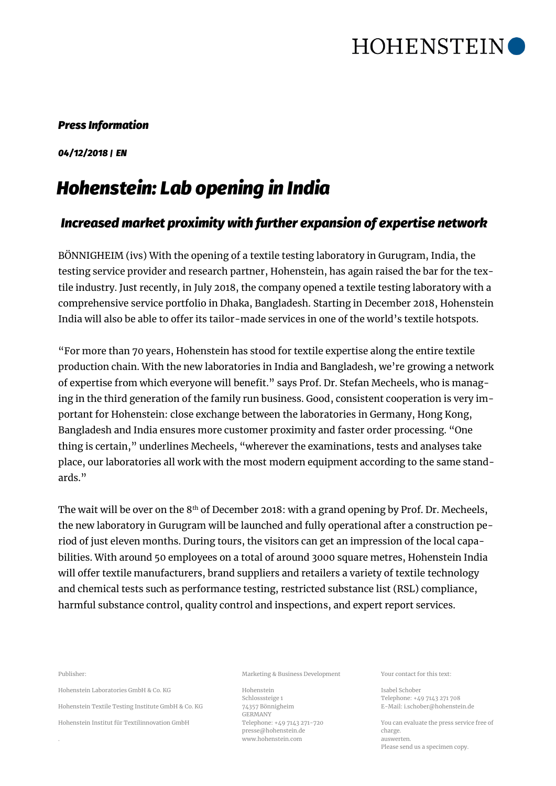

## *Press Information*

*04/12/2018 | EN*

## *Hohenstein: Lab opening in India*

## *Increased market proximity with further expansion of expertise network*

BÖNNIGHEIM (ivs) With the opening of a textile testing laboratory in Gurugram, India, the testing service provider and research partner, Hohenstein, has again raised the bar for the textile industry. Just recently, in July 2018, the company opened a textile testing laboratory with a comprehensive service portfolio in Dhaka, Bangladesh. Starting in December 2018, Hohenstein India will also be able to offer its tailor-made services in one of the world's textile hotspots.

"For more than 70 years, Hohenstein has stood for textile expertise along the entire textile production chain. With the new laboratories in India and Bangladesh, we're growing a network of expertise from which everyone will benefit." says Prof. Dr. Stefan Mecheels, who is managing in the third generation of the family run business. Good, consistent cooperation is very important for Hohenstein: close exchange between the laboratories in Germany, Hong Kong, Bangladesh and India ensures more customer proximity and faster order processing. "One thing is certain," underlines Mecheels, "wherever the examinations, tests and analyses take place, our laboratories all work with the most modern equipment according to the same standards."

The wait will be over on the 8<sup>th</sup> of December 2018: with a grand opening by Prof. Dr. Mecheels, the new laboratory in Gurugram will be launched and fully operational after a construction period of just eleven months. During tours, the visitors can get an impression of the local capabilities. With around 50 employees on a total of around 3000 square metres, Hohenstein India will offer textile manufacturers, brand suppliers and retailers a variety of textile technology and chemical tests such as performance testing, restricted substance list (RSL) compliance, harmful substance control, quality control and inspections, and expert report services.

Publisher:

Hohenstein Laboratories GmbH & Co. KG

Hohenstein Textile Testing Institute GmbH & Co. KG

Hohenstein Institut für Textilinnovation GmbH

Marketing & Business Development

Hohenstein Schlosssteige 1 74357 Bönnigheim GERMANY Telephone: +49 7143 271-720 presse@hohenstein.de www.hohenstein.com

Your contact for this text:

Isabel Schober Telephone: +49 7143 271 708 E-Mail: i.schober@hohenstein.de

You can evaluate the press service free of charge. auswerten. Please send us a specimen copy.